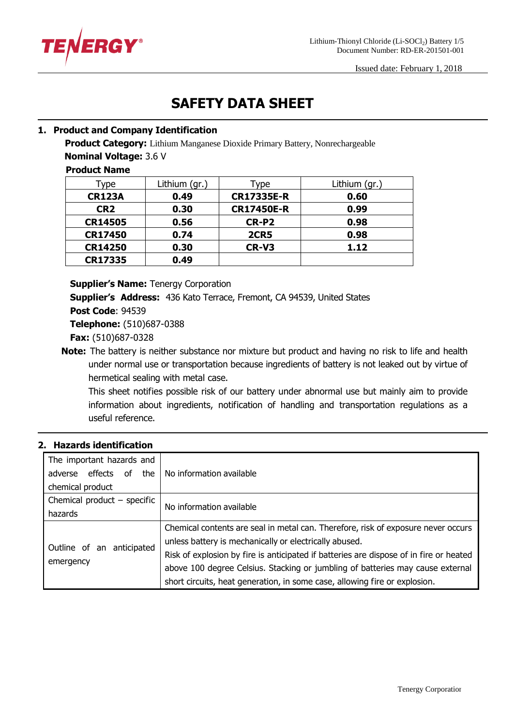

# **SAFETY DATA SHEET**

# **1. Product and Company Identification**

**Product Category:** Lithium Manganese Dioxide Primary Battery, Nonrechargeable

**Nominal Voltage:** 3.6 V

**Product Name**

| Type            | Lithium (gr.) | Type              | Lithium (gr.) |
|-----------------|---------------|-------------------|---------------|
| <b>CR123A</b>   | 0.49          | <b>CR17335E-R</b> | 0.60          |
| CR <sub>2</sub> | 0.30          | <b>CR17450E-R</b> | 0.99          |
| <b>CR14505</b>  | 0.56          | CR-P2             | 0.98          |
| <b>CR17450</b>  | 0.74          | <b>2CR5</b>       | 0.98          |
| <b>CR14250</b>  | 0.30          | CR-V3             | 1.12          |
| <b>CR17335</b>  | 0.49          |                   |               |

**Supplier's Name:** Tenergy Corporation

**Supplier's Address:** 436 Kato Terrace, Fremont, CA 94539, United States

**Post Code**: 94539

**Telephone:** (510)687-0388

**Fax:** (510)687-0328

**Note:** The battery is neither substance nor mixture but product and having no risk to life and health under normal use or transportation because ingredients of battery is not leaked out by virtue of hermetical sealing with metal case.

This sheet notifies possible risk of our battery under abnormal use but mainly aim to provide information about ingredients, notification of handling and transportation regulations as a useful reference.

## **2. Hazards identification**

| The important hazards and<br>adverse effects of the<br>chemical product | No information available                                                                                                                                                                                                                                                                                                                                                                              |
|-------------------------------------------------------------------------|-------------------------------------------------------------------------------------------------------------------------------------------------------------------------------------------------------------------------------------------------------------------------------------------------------------------------------------------------------------------------------------------------------|
| Chemical product $-$ specific<br>hazards                                | No information available                                                                                                                                                                                                                                                                                                                                                                              |
| Outline of an anticipated<br>emergency                                  | Chemical contents are seal in metal can. Therefore, risk of exposure never occurs<br>unless battery is mechanically or electrically abused.<br>Risk of explosion by fire is anticipated if batteries are dispose of in fire or heated<br>above 100 degree Celsius. Stacking or jumbling of batteries may cause external<br>short circuits, heat generation, in some case, allowing fire or explosion. |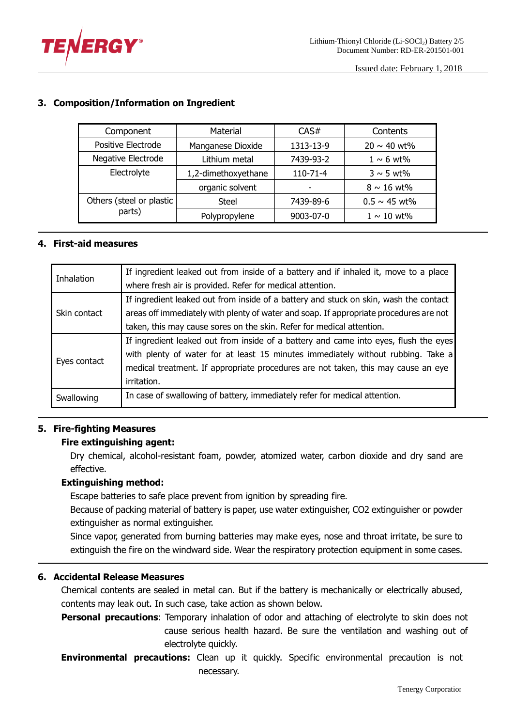

| Material<br>Component    |                     | CAS#      | Contents          |
|--------------------------|---------------------|-----------|-------------------|
| Positive Electrode       | Manganese Dioxide   | 1313-13-9 | $20 \sim 40$ wt%  |
| Negative Electrode       | Lithium metal       | 7439-93-2 | $1 \sim 6$ wt%    |
| Electrolyte              | 1,2-dimethoxyethane | 110-71-4  | $3 \sim 5$ wt%    |
|                          | organic solvent     | -         | $8 \sim 16$ wt%   |
| Others (steel or plastic | Steel               | 7439-89-6 | $0.5 \sim 45$ wt% |
| parts)                   | Polypropylene       | 9003-07-0 | $1 \sim 10$ wt%   |

# **3. Composition/Information on Ingredient**

# **4. First-aid measures**

| Inhalation   | If ingredient leaked out from inside of a battery and if inhaled it, move to a place   |
|--------------|----------------------------------------------------------------------------------------|
|              | where fresh air is provided. Refer for medical attention.                              |
| Skin contact | If ingredient leaked out from inside of a battery and stuck on skin, wash the contact  |
|              | areas off immediately with plenty of water and soap. If appropriate procedures are not |
|              | taken, this may cause sores on the skin. Refer for medical attention.                  |
| Eyes contact | If ingredient leaked out from inside of a battery and came into eyes, flush the eyes   |
|              | with plenty of water for at least 15 minutes immediately without rubbing. Take a       |
|              | medical treatment. If appropriate procedures are not taken, this may cause an eye      |
|              | irritation.                                                                            |
| Swallowing   | In case of swallowing of battery, immediately refer for medical attention.             |

## **5. Fire-fighting Measures**

## **Fire extinguishing agent:**

Dry chemical, alcohol-resistant foam, powder, atomized water, carbon dioxide and dry sand are effective.

## **Extinguishing method:**

Escape batteries to safe place prevent from ignition by spreading fire.

Because of packing material of battery is paper, use water extinguisher, CO2 extinguisher or powder extinguisher as normal extinguisher.

Since vapor, generated from burning batteries may make eyes, nose and throat irritate, be sure to extinguish the fire on the windward side. Wear the respiratory protection equipment in some cases.

## **6. Accidental Release Measures**

Chemical contents are sealed in metal can. But if the battery is mechanically or electrically abused, contents may leak out. In such case, take action as shown below.

**Personal precautions**: Temporary inhalation of odor and attaching of electrolyte to skin does not cause serious health hazard. Be sure the ventilation and washing out of electrolyte quickly.

**Environmental precautions:** Clean up it quickly. Specific environmental precaution is not necessary.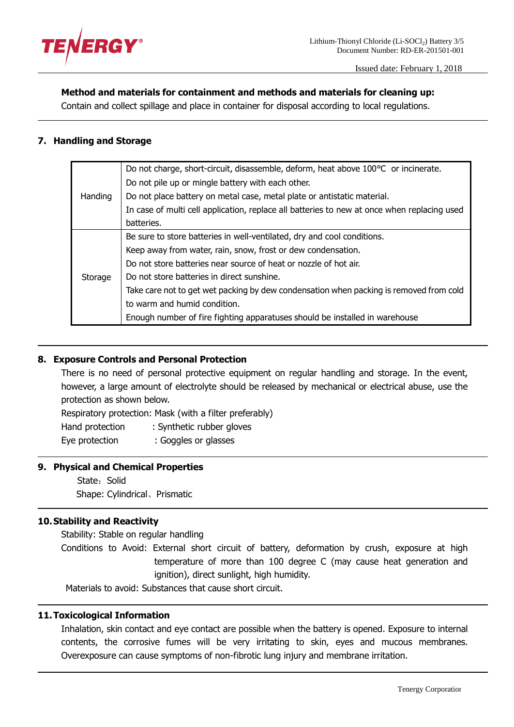

#### **Method and materials for containment and methods and materials for cleaning up:**

Contain and collect spillage and place in container for disposal according to local regulations.

## **7. Handling and Storage**

|         | Do not charge, short-circuit, disassemble, deform, heat above 100°C or incinerate.          |
|---------|---------------------------------------------------------------------------------------------|
|         | Do not pile up or mingle battery with each other.                                           |
| Handing | Do not place battery on metal case, metal plate or antistatic material.                     |
|         | In case of multi cell application, replace all batteries to new at once when replacing used |
|         | batteries.                                                                                  |
| Storage | Be sure to store batteries in well-ventilated, dry and cool conditions.                     |
|         | Keep away from water, rain, snow, frost or dew condensation.                                |
|         | Do not store batteries near source of heat or nozzle of hot air.                            |
|         | Do not store batteries in direct sunshine.                                                  |
|         | Take care not to get wet packing by dew condensation when packing is removed from cold      |
|         | to warm and humid condition.                                                                |
|         | Enough number of fire fighting apparatuses should be installed in warehouse                 |

## **8. Exposure Controls and Personal Protection**

There is no need of personal protective equipment on regular handling and storage. In the event, however, a large amount of electrolyte should be released by mechanical or electrical abuse, use the protection as shown below.

Respiratory protection: Mask (with a filter preferably) Hand protection : Synthetic rubber gloves Eye protection : Goggles or glasses

## **9. Physical and Chemical Properties**

State: Solid Shape: Cylindrical、Prismatic

## **10.Stability and Reactivity**

Stability: Stable on regular handling

Conditions to Avoid: External short circuit of battery, deformation by crush, exposure at high temperature of more than 100 degree C (may cause heat generation and ignition), direct sunlight, high humidity.

Materials to avoid: Substances that cause short circuit.

#### **11.Toxicological Information**

Inhalation, skin contact and eye contact are possible when the battery is opened. Exposure to internal contents, the corrosive fumes will be very irritating to skin, eyes and mucous membranes. Overexposure can cause symptoms of non-fibrotic lung injury and membrane irritation.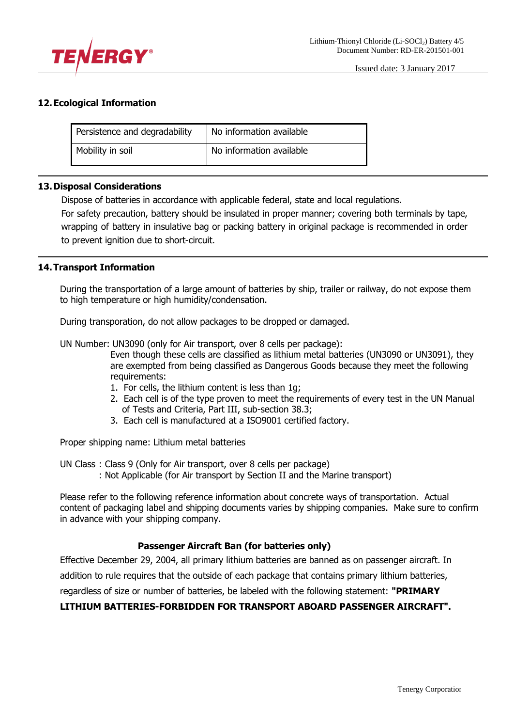

## **12.Ecological Information**

| Persistence and degradability | No information available |
|-------------------------------|--------------------------|
| Mobility in soil              | No information available |

#### **13.Disposal Considerations**

Dispose of batteries in accordance with applicable federal, state and local regulations.

For safety precaution, battery should be insulated in proper manner; covering both terminals by tape, wrapping of battery in insulative bag or packing battery in original package is recommended in order to prevent ignition due to short-circuit.

#### **14.Transport Information**

During the transportation of a large amount of batteries by ship, trailer or railway, do not expose them to high temperature or high humidity/condensation.

During transporation, do not allow packages to be dropped or damaged.

UN Number: UN3090 (only for Air transport, over 8 cells per package):

Even though these cells are classified as lithium metal batteries (UN3090 or UN3091), they are exempted from being classified as Dangerous Goods because they meet the following requirements:

- 1. For cells, the lithium content is less than 1g;
- 2. Each cell is of the type proven to meet the requirements of every test in the UN Manual of Tests and Criteria, Part III, sub-section 38.3;
- 3. Each cell is manufactured at a ISO9001 certified factory.

Proper shipping name: Lithium metal batteries

UN Class : Class 9 (Only for Air transport, over 8 cells per package)

: Not Applicable (for Air transport by Section II and the Marine transport)

Please refer to the following reference information about concrete ways of transportation. Actual content of packaging label and shipping documents varies by shipping companies. Make sure to confirm in advance with your shipping company.

## **Passenger Aircraft Ban (for batteries only)**

Effective December 29, 2004, all primary lithium batteries are banned as on passenger aircraft. In

addition to rule requires that the outside of each package that contains primary lithium batteries,

regardless of size or number of batteries, be labeled with the following statement: **"PRIMARY** 

#### **LITHIUM BATTERIES-FORBIDDEN FOR TRANSPORT ABOARD PASSENGER AIRCRAFT".**